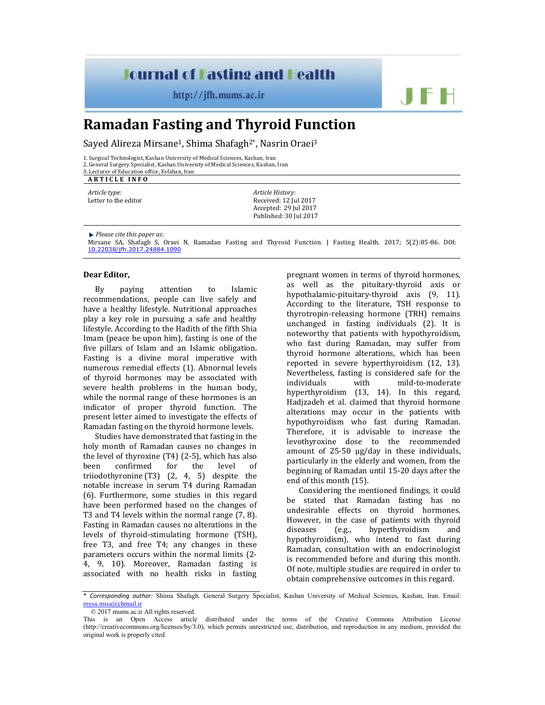## **Journal of Fasting and Health**

http://jfh.mums.ac.ir

## **Ramadan Fasting and Thyroid Function**

Sayed Alireza Mirsane<sup>1</sup>, Shima Shafagh<sup>2\*</sup>, Nasrin Oraei<sup>3</sup>

1. Surgical Technologist, Kashan University of Medical Sciences, Kashan, Iran

2. General Surgery Specialist, Kashan University of Medical Sciences, Kashan, Iran

3. Lecturer of Education office, Esfahan, Iran **A R T I C L E I N F O**

*Article type:* Letter to the editor *Article History:* Received: 12 Jul 2017 Accepted: 29 Jul 2017 Published: 30 Jul 2017

*Please cite this paper as*:

Mirsane SA, Shafagh S, Oraei N. Ramadan Fasting and Thyroid Function. J Fasting Health. 2017; 5(2):85-86. DOI: 10.22038/jfh.2017.24884.1090

## **Dear Editor,**

By paying attention to Islamic recommendations, people can live safely and have a healthy lifestyle. Nutritional approaches play a key role in pursuing a safe and healthy lifestyle. According to the Hadith of the fifth Shia Imam (peace be upon him), fasting is one of the five pillars of Islam and an Islamic obligation. Fasting is a divine moral imperative with numerous remedial effects (1). Abnormal levels of thyroid hormones may be associated with severe health problems in the human body, while the normal range of these hormones is an indicator of proper thyroid function. The present letter aimed to investigate the effects of Ramadan fasting on the thyroid hormone levels.

Studies have demonstrated that fasting in the holy month of Ramadan causes no changes in the level of thyroxine (T4) (2-5), which has also been confirmed for the level of triiodothyronine (T3) (2, 4, 5) despite the notable increase in serum T4 during Ramadan (6). Furthermore, some studies in this regard have been performed based on the changes of T3 and T4 levels within the normal range (7, 8). Fasting in Ramadan causes no alterations in the levels of thyroid-stimulating hormone (TSH), free T3, and free T4; any changes in these parameters occurs within the normal limits (2- 4, 9, 10). Moreover, Ramadan fasting is associated with no health risks in fasting

pregnant women in terms of thyroid hormones, as well as the pituitary-thyroid axis or hypothalamic-pituitary-thyroid axis (9, 11). According to the literature, TSH response to thyrotropin-releasing hormone (TRH) remains unchanged in fasting individuals (2). It is noteworthy that patients with hypothyroidism, who fast during Ramadan, may suffer from thyroid hormone alterations, which has been reported in severe hyperthyroidism (12, 13). Nevertheless, fasting is considered safe for the individuals with mild-to-moderate hyperthyroidism (13, 14). In this regard, Hadjzadeh et al. claimed that thyroid hormone alterations may occur in the patients with hypothyroidism who fast during Ramadan. Therefore, it is advisable to increase the levothyroxine dose to the recommended amount of 25‐50 μg/day in these individuals, particularly in the elderly and women, from the beginning of Ramadan until 15‐20 days after the end of this month (15).

JF H

Considering the mentioned findings, it could be stated that Ramadan fasting has no undesirable effects on thyroid hormones. However, in the case of patients with thyroid diseases (e.g., hyperthyroidism and hypothyroidism), who intend to fast during Ramadan, consultation with an endocrinologist is recommended before and during this month. Of note, multiple studies are required in order to obtain comprehensive outcomes in this regard.

<sup>\*</sup> *Corresponding author:* Shima Shafagh. General Surgery Specialist, Kashan University of Medical Sciences, Kashan, Iran. Email: mysa.misa@chmail.ir

<sup>© 2017</sup> mums.ac.ir All rights reserved.

This is an Open Access article distributed under the terms of the Creative Commons Attribution License (http://creativecommons.org/licenses/by/3.0), which permits unrestricted use, distribution, and reproduction in any medium, provided the original work is properly cited.